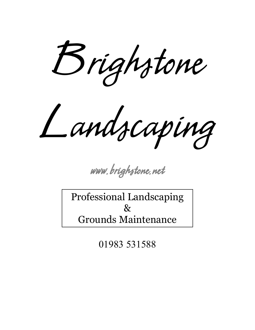Brighstone

Landscaping

[www.brighstone.net](http://www.brighstone.net)

Professional Landscaping  $\chi$ Grounds Maintenance

01983 531588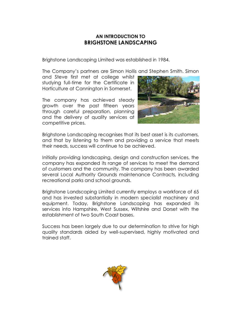### **AN INTRODUCTION TO BRIGHSTONE LANDSCAPING**

Brighstone Landscaping Limited was established in 1984.

The Company·s partners are Simon Hollis and Stephen Smith. Simon

and Steve first met at college whilst studying full-time for the Certificate in Horticulture at Cannington in Somerset.

The company has achieved steady growth over the past fifteen years through careful preparation, planning and the delivery of quality services at competitive prices.



Brighstone Landscaping recognises that its best asset is its customers, and that by listening to them and providing a service that meets their needs, success will continue to be achieved.

Initially providing landscaping, design and construction services, the company has expanded its range of services to meet the demand of customers and the community. The company has been awarded several Local Authority Grounds maintenance Contracts, including recreational parks and school grounds.

Brighstone Landscaping Limited currently employs a workforce of 65 and has invested substantially in modern specialist machinery and equipment. Today, Brighstone Landscaping has expanded its services into Hampshire, West Sussex, Wiltshire and Dorset with the establishment of two South Coast bases.

Success has been largely due to our determination to strive for high quality standards aided by well-supervised, highly motivated and trained staff.

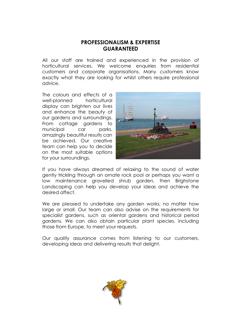### **PROFESSIONALISM & EXPERTISE GUARANTEED**

All our staff are trained and experienced in the provision of horticultural services. We welcome enquiries from residential customers and corporate organisations. Many customers know exactly what they are looking for whilst others require professional advice.

The colours and effects of a well-planned horticultural display can brighten our lives and enhance the beauty of our gardens and surroundings. From cottage gardens to municipal car parks, amazingly beautiful results can be achieved. Our creative team can help you to decide on the most suitable options for your surroundings.



If you have always dreamed of relaxing to the sound of water gently trickling through an ornate rock pool or perhaps you want a low maintenance gravelled shrub garden, then Brighstone Landscaping can help you develop your ideas and achieve the desired affect.

We are pleased to undertake any garden works, no matter how large or small. Our team can also advise on the requirements for specialist gardens, such as oriental gardens and historical period gardens. We can also obtain particular plant species, including those from Europe, to meet your requests.

Our quality assurance comes from listening to our customers, developing ideas and delivering results that delight.

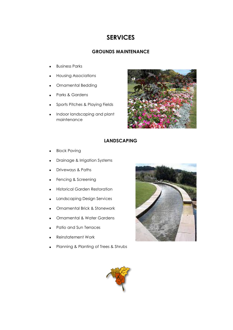# **SERVICES**

#### **GROUNDS MAINTENANCE**

- **Business Parks**
- · Housing Associations
- · Ornamental Bedding
- Parks & Gardens
- · Sports Pitches & Playing Fields
- · Indoor landscaping and plant maintenance



### **LANDSCAPING**

- **Block Paving**
- Drainage & Irrigation Systems
- Driveways & Paths
- Fencing & Screening
- **Historical Garden Restoration**
- Landscaping Design Services
- · Ornamental Brick & Stonework
- · Ornamental & Water Gardens
- Patio and Sun Terraces
- · Reinstatement Work
- Planning & Planting of Trees & Shrubs



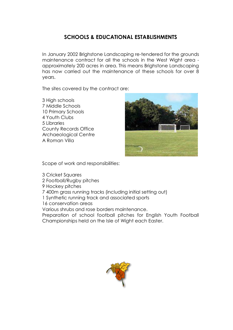## **SCHOOLS & EDUCATIONAL ESTABLISHMENTS**

In January 2002 Brighstone Landscaping re-tendered for the grounds maintenance contract for all the schools in the West Wight area approximately 200 acres in area. This means Brighstone Landscaping has now carried out the maintenance of these schools for over 8 years.

The sites covered by the contract are:

3 High schools 7 Middle Schools 10 Primary Schools 4 Youth Clubs 5 Libraries County Records Office Archaeological Centre A Roman Villa



Scope of work and responsibilities:

- 3 Cricket Squares
- 2 Football/Rugby pitches
- 9 Hockey pitches
- 7 400m grass running tracks (including initial setting out)
- 1 Synthetic running track and associated sports
- 16 conservation areas

Various shrubs and rose borders maintenance.

Preparation of school football pitches for English Youth Football Championships held on the Isle of Wight each Easter.

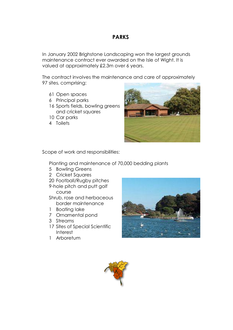### **PARKS**

In January 2002 Brighstone Landscaping won the largest grounds maintenance contract ever awarded on the Isle of Wight. It is valued at approximately £2.3m over 6 years.

The contract involves the maintenance and care of approximately 97 sites, comprising:

- 61 Open spaces
- 6 Principal parks
- 16 Sports fields, bowling greens and cricket squares
- 10 Car parks
- 4 Toilets



Scope of work and responsibilities:

Planting and maintenance of 70,000 bedding plants

- 5 Bowling Greens
- 2 Cricket Squares
- 20 Football/Rugby pitches 9-hole pitch and putt golf

course

Shrub, rose and herbaceous border maintenance

- 1 Boating lake
- 7 Ornamental pond
- 3 Streams
- 17 Sites of Special Scientific Interest
- 1 Arboretum



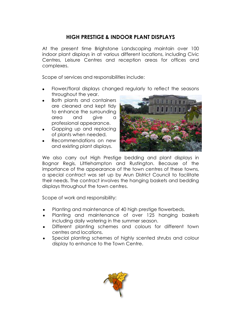# **HIGH PRESTIGE & INDOOR PLANT DISPLAYS**

At the present time Brighstone Landscaping maintain over 100 indoor plant displays in at various different locations, including Civic Centres, Leisure Centres and reception areas for offices and complexes.

Scope of services and responsibilities include:

- Flower/floral displays changed regularly to reflect the seasons throughout the year.
- · Both plants and containers are cleaned and kept tidy to enhance the surrounding area and give a professional appearance.
- Gapping up and replacing of plants when needed.
- Recommendations on new and existing plant displays.



We also carry out High Prestige bedding and plant displays in Bognor Regis, Littlehampton and Rustington. Because of the importance of the appearance of the town centres of these towns, a special contract was set up by Arun District Council to facilitate their needs. The contract involves the hanging baskets and bedding displays throughout the town centres.

Scope of work and responsibility:

- Planting and maintenance of 40 high prestige flowerbeds.
- Planting and maintenance of over 125 hanging baskets including daily watering in the summer season.
- Different planting schemes and colours for different town centres and locations.
- Special planting schemes of highly scented shrubs and colour display to enhance to the Town Centre.

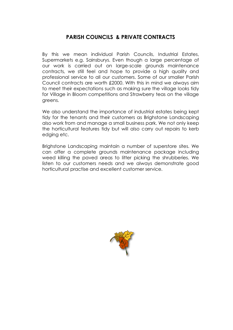### **PARISH COUNCILS & PRIVATE CONTRACTS**

By this we mean individual Parish Councils, Industrial Estates, Supermarkets e.g. Sainsburys. Even though a large percentage of our work is carried out on large-scale grounds maintenance contracts, we still feel and hope to provide a high quality and professional service to all our customers. Some of our smaller Parish Council contracts are worth £2000. With this in mind we always aim to meet their expectations such as making sure the village looks tidy for Village in Bloom competitions and Strawberry teas on the village greens.

We also understand the importance of industrial estates being kept tidy for the tenants and their customers as Brighstone Landscaping also work from and manage a small business park. We not only keep the horticultural features tidy but will also carry out repairs to kerb edging etc.

Brighstone Landscaping maintain a number of superstore sites. We can offer a complete grounds maintenance package including weed killing the paved areas to litter picking the shrubberies. We listen to our customers needs and we always demonstrate good horticultural practise and excellent customer service.

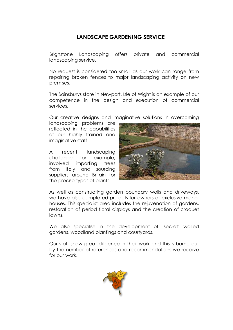# **LANDSCAPE GARDENING SERVICE**

Brighstone Landscaping offers private and commercial landscaping service.

No request is considered too small as our work can range from repairing broken fences to major landscaping activity on new premises.

The Sainsburys store in Newport, Isle of Wight is an example of our competence in the design and execution of commercial services.

Our creative designs and imaginative solutions in overcoming

landscaping problems are reflected in the capabilities of our highly trained and imaginative staff.

A recent landscaping challenge for example, involved importing trees from Italy and sourcing suppliers around Britain for the precise types of plants.



As well as constructing garden boundary walls and driveways, we have also completed projects for owners of exclusive manor houses. This specialist area includes the rejuvenation of gardens, restoration of period floral displays and the creation of croquet lawns.

We also specialise in the development of 'secret' walled gardens, woodland plantings and courtyards.

Our staff show great diligence in their work and this is borne out by the number of references and recommendations we receive for our work.

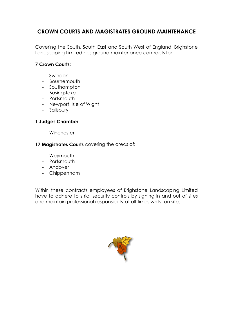# **CROWN COURTS AND MAGISTRATES GROUND MAINTENANCE**

Covering the South, South East and South West of England, Brighstone Landscaping Limited has ground maintenance contracts for:

### **7 Crown Courts:**

- Swindon
- Bournemouth
- Southampton
- Basingstoke
- Portsmouth
- Newport, Isle of Wight
- Salisbury

### **1 Judges Chamber:**

- Winchester

### **17 Magistrates Courts** covering the areas of:

- Weymouth
- Portsmouth
- Andover
- Chippenham

Within these contracts employees of Brighstone Landscaping Limited have to adhere to strict security controls by signing in and out of sites and maintain professional responsibility at all times whilst on site.

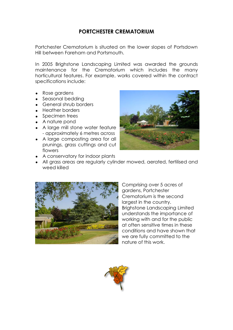### **PORTCHESTER CREMATORIUM**

Portchester Crematorium is situated on the lower slopes of Portsdown Hill between Fareham and Portsmouth.

In 2005 Brighstone Landscaping Limited was awarded the grounds maintenance for the Crematorium which includes the many horticultural features. For example, works covered within the contract specifications include:

- Rose gardens
- Seasonal bedding
- · General shrub borders
- · Heather borders
- Specimen trees
- · A nature pond
- · A large mill stone water feature - approximately 6 metres across
- A large composting area for all prunings, grass cuttings and cut flowers



- · A conservatory for indoor plants
- · All grass areas are regularly cylinder mowed, aerated, fertilised and weed killed



Comprising over 5 acres of gardens, Portchester Crematorium is the second largest in the country. Brighstone Landscaping Limited understands the importance of working with and for the public at often sensitive times in these conditions and have shown that we are fully committed to the nature of this work.

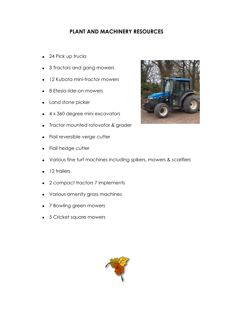# **PLANT AND MACHINERY RESOURCES**

- 24 Pick up trucks
- 3 Tractors and gang mowers
- · 12 Kubota mini-tractor mowers
- · 8 Etesia ride-on mowers
- · Land stone picker
- · 4 x 360 degree mini excavators
- · Tractor mounted rotovator & grader
- Flail reversible verge cutter
- Flail hedge cutter
- · Various fine turf machines including spikers, mowers & scarifiers
- 12 trailers
- · 2 compact tractors 7 implements
- · Various amenity grass machines
- · 7 Bowling green mowers
- · 5 Cricket square mowers